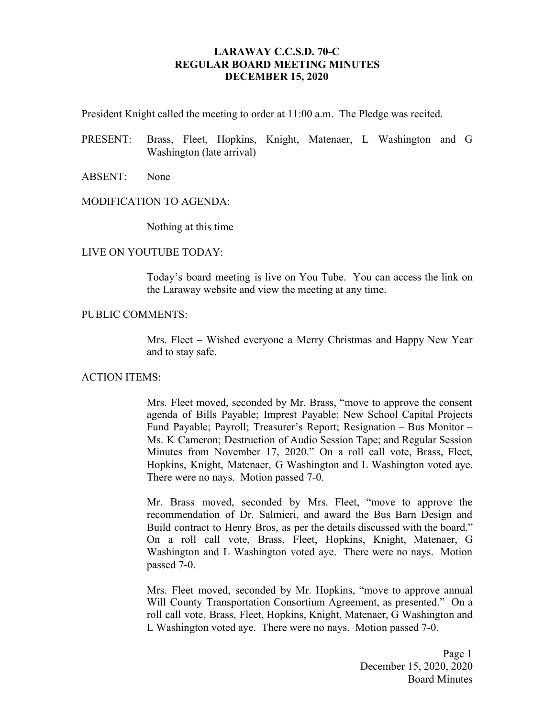### **LARAWAY C.C.S.D. 70-C REGULAR BOARD MEETING MINUTES DECEMBER 15, 2020**

President Knight called the meeting to order at 11:00 a.m. The Pledge was recited.

- PRESENT: Brass, Fleet, Hopkins, Knight, Matenaer, L Washington and G Washington (late arrival)
- ABSENT: None

#### MODIFICATION TO AGENDA:

Nothing at this time

#### LIVE ON YOUTUBE TODAY:

Today's board meeting is live on You Tube. You can access the link on the Laraway website and view the meeting at any time.

### PUBLIC COMMENTS:

Mrs. Fleet – Wished everyone a Merry Christmas and Happy New Year and to stay safe.

#### ACTION ITEMS:

Mrs. Fleet moved, seconded by Mr. Brass, "move to approve the consent agenda of Bills Payable; Imprest Payable; New School Capital Projects Fund Payable; Payroll; Treasurer's Report; Resignation – Bus Monitor – Ms. K Cameron; Destruction of Audio Session Tape; and Regular Session Minutes from November 17, 2020." On a roll call vote, Brass, Fleet, Hopkins, Knight, Matenaer, G Washington and L Washington voted aye. There were no nays. Motion passed 7-0.

Mr. Brass moved, seconded by Mrs. Fleet, "move to approve the recommendation of Dr. Salmieri, and award the Bus Barn Design and Build contract to Henry Bros, as per the details discussed with the board." On a roll call vote, Brass, Fleet, Hopkins, Knight, Matenaer, G Washington and L Washington voted aye. There were no nays. Motion passed 7-0.

Mrs. Fleet moved, seconded by Mr. Hopkins, "move to approve annual Will County Transportation Consortium Agreement, as presented." On a roll call vote, Brass, Fleet, Hopkins, Knight, Matenaer, G Washington and L Washington voted aye. There were no nays. Motion passed 7-0.

> Page 1 December 15, 2020, 2020 Board Minutes